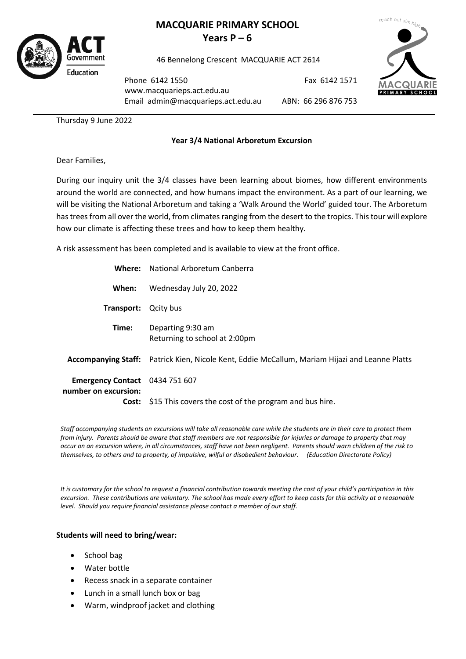

# **MACQUARIE PRIMARY SCHOOL Years**  $P - 6$

46 Bennelong Crescent MACQUARIE ACT 2614



Phone 6142 1550 [www.macquarieps.act.edu.au](http://www.macquarieps.act.edu.au/) Email admin@macquarieps.act.edu.au

ABN: 66 296 876 753

Fax 6142 1571

Thursday 9 June 2022

### **Year 3/4 National Arboretum Excursion**

Dear Families,

During our inquiry unit the 3/4 classes have been learning about biomes, how different environments around the world are connected, and how humans impact the environment. As a part of our learning, we will be visiting the National Arboretum and taking a 'Walk Around the World' guided tour. The Arboretum has trees from all over the world, from climates ranging from the desert to the tropics. This tour will explore how our climate is affecting these trees and how to keep them healthy.

A risk assessment has been completed and is available to view at the front office.

| Where: \                                                      | <b>National Arboretum Canberra</b>                                                             |
|---------------------------------------------------------------|------------------------------------------------------------------------------------------------|
| When:                                                         | Wednesday July 20, 2022                                                                        |
| Transport:                                                    | Qcity bus                                                                                      |
| Time:                                                         | Departing 9:30 am<br>Returning to school at 2:00pm                                             |
|                                                               | Accompanying Staff: Patrick Kien, Nicole Kent, Eddie McCallum, Mariam Hijazi and Leanne Platts |
| <b>Emergency Contact</b> 0434 751 607<br>number on excursion: |                                                                                                |
|                                                               | Cost: \$15 This covers the cost of the program and bus hire.                                   |

*Staff accompanying students on excursions will take all reasonable care while the students are in their care to protect them from injury. Parents should be aware that staff members are not responsible for injuries or damage to property that may occur on an excursion where, in all circumstances, staff have not been negligent. Parents should warn children of the risk to themselves, to others and to property, of impulsive, wilful or disobedient behaviour. (Education Directorate Policy)*

*It is customary for the school to request a financial contribution towards meeting the cost of your child's participation in this excursion. These contributions are voluntary. The school has made every effort to keep costs for this activity at a reasonable level. Should you require financial assistance please contact a member of our staff.*

### **Students will need to bring/wear:**

- School bag
- Water bottle
- Recess snack in a separate container
- Lunch in a small lunch box or bag
- Warm, windproof jacket and clothing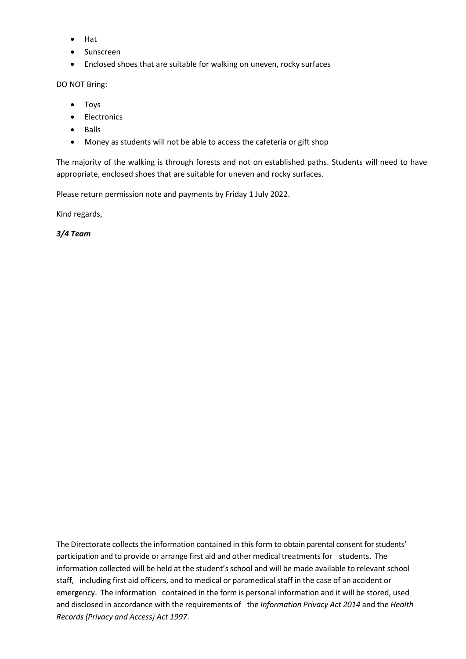- Hat
- Sunscreen
- Enclosed shoes that are suitable for walking on uneven, rocky surfaces

#### DO NOT Bring:

- Toys
- Electronics
- Balls
- Money as students will not be able to access the cafeteria or gift shop

The majority of the walking is through forests and not on established paths. Students will need to have appropriate, enclosed shoes that are suitable for uneven and rocky surfaces.

Please return permission note and payments by Friday 1 July 2022.

Kind regards,

*3/4 Team*

The Directorate collects the information contained in thisform to obtain parental consent for students' participation and to provide or arrange first aid and other medical treatments for students. The information collected will be held at the student's school and will be made available to relevant school staff, including first aid officers, and to medical or paramedical staff in the case of an accident or emergency. The information contained in the form is personal information and it will be stored, used and disclosed in accordance with the requirements of the *Information Privacy Act 2014* and the *Health Records (Privacy and Access) Act 1997*.